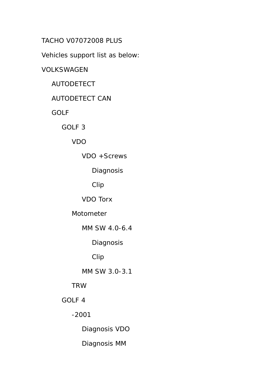TACHO V07072008 PLUS

Vehicles support list as below:

VOLKSWAGEN

AUTODETECT

AUTODETECT CAN

GOLF

GOLF 3

VDO

VDO +Screws

Diagnosis

Clip

VDO Torx

Motometer

MM SW 4.0-6.4

Diagnosis

Clip

MM SW 3.0-3.1

TRW

GOLF 4

-2001

Diagnosis VDO

Diagnosis MM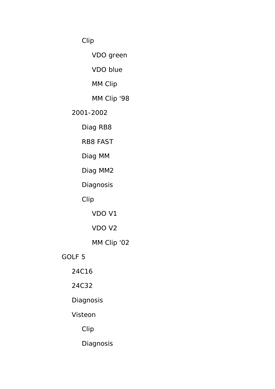Clip

VDO green

VDO blue

MM Clip

MM Clip '98

2001-2002

Diag RB8

RB8 FAST

Diag MM

Diag MM2

Diagnosis

Clip

VDO V1

VDO V2

MM Clip '02

GOLF 5

24C16

24C32

**Diagnosis** 

Visteon

Clip

Diagnosis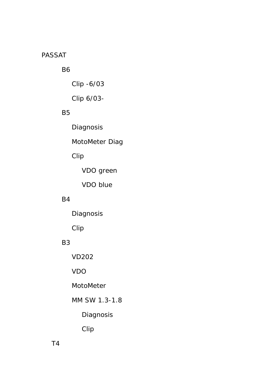#### PASSAT

## B6

Clip -6/03

Clip 6/03-

#### B5

Diagnosis

MotoMeter Diag

# Clip

VDO green

VDO blue

#### B4

Diagnosis

Clip

## B3

VD202

VDO

MotoMeter

MM SW 1.3-1.8

Diagnosis

Clip

T4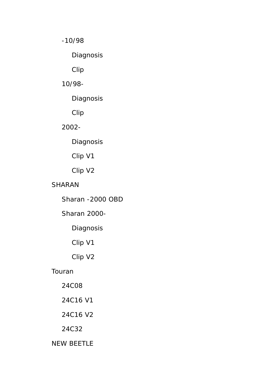-10/98

Diagnosis

Clip

10/98-

Diagnosis

Clip

2002-

Diagnosis

Clip V1

Clip V2

SHARAN

Sharan -2000 OBD

Sharan 2000-

Diagnosis

Clip V1

Clip V2

Touran

24C08

24C16 V1

24C16 V2

24C32

NEW BEETLE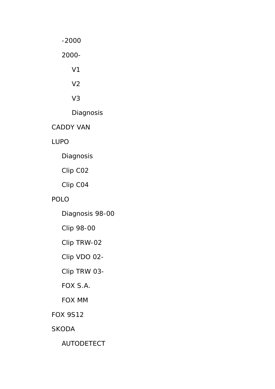-2000

2000-

V1

V2

V3

Diagnosis

CADDY VAN

LUPO

Diagnosis

Clip C02

Clip C04

## POLO

Diagnosis 98-00

Clip 98-00

Clip TRW-02

Clip VDO 02-

Clip TRW 03-

# FOX S.A.

FOX MM

FOX 9S12

SKODA

AUTODETECT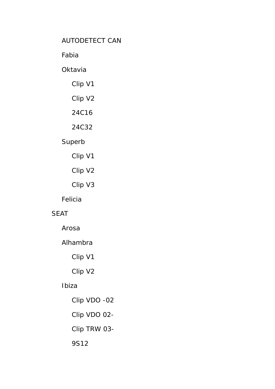## AUTODETECT CAN

Fabia

#### **Oktavia**

# Clip V1

Clip V2

## 24C16

# 24C32

# Superb

- Clip V1
- Clip V2
- Clip V3

#### Felicia

#### SEAT

Arosa

## Alhambra

Clip V1

Clip V2

## Ibiza

 Clip VDO -02 Clip VDO 02- Clip TRW 03- 9S12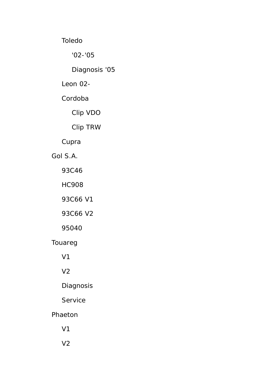Toledo

'02-'05

Diagnosis '05

Leon 02-

Cordoba

Clip VDO

Clip TRW

Cupra

Gol S.A.

93C46

HC908

93C66 V1

93C66 V2

95040

Touareg

V1

V2

Diagnosis

Service

Phaeton

V1

V2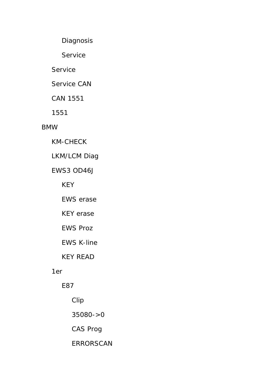Diagnosis

Service

Service

Service CAN

CAN 1551

1551

### BMW

KM-CHECK

LKM/LCM Diag

EWS3 OD46J

KEY

EWS erase

KEY erase

EWS Proz

EWS K-line

KEY READ

### 1er

E87

Clip

35080->0

CAS Prog

ERRORSCAN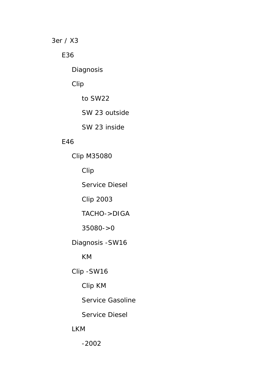3er / X3

E36

Diagnosis

Clip

to SW22

SW 23 outside

SW 23 inside

#### E46

 Clip M35080 Clip Service Diesel Clip 2003 TACHO->DIGA 35080->0 Diagnosis -SW16 KM Clip -SW16 Clip KM Service Gasoline Service Diesel LKM

-2002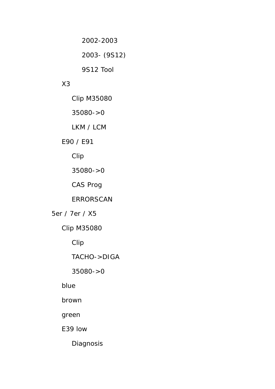2002-2003

2003- (9S12)

9S12 Tool

## X3

Clip M35080

35080->0

LKM / LCM

## E90 / E91

Clip

35080->0

CAS Prog

ERRORSCAN

5er / 7er / X5

Clip M35080

Clip

TACHO->DIGA

35080->0

blue

brown

green

E39 low

Diagnosis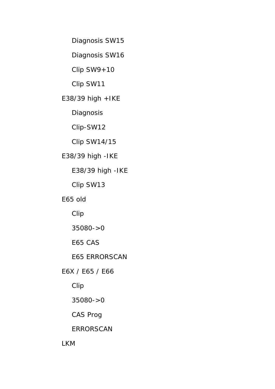Diagnosis SW15

Diagnosis SW16

 $Clip$   $SW9+10$ 

Clip SW11

E38/39 high +IKE

**Diagnosis** 

Clip-SW12

Clip SW14/15

E38/39 high -IKE

E38/39 high -IKE

Clip SW13

E65 old

Clip

35080->0

E65 CAS

E65 ERRORSCAN

E6X / E65 / E66

Clip

35080->0

CAS Prog

ERRORSCAN

LKM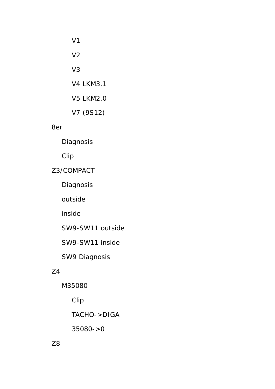| <b>V4 LKM3.1</b> |
|------------------|
| <b>V5 LKM2.0</b> |
| V7 (9S12)        |
|                  |

8er

Diagnosis

Clip

## Z3/COMPACT

Diagnosis

outside

inside

SW9-SW11 outside

SW9-SW11 inside

SW9 Diagnosis

## Z4

M35080

Clip

TACHO->DIGA

35080->0

Z8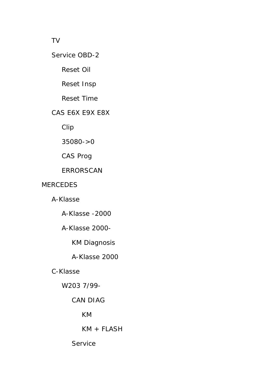#### TV

#### Service OBD-2

Reset Oil

Reset Insp

Reset Time

#### CAS E6X E9X E8X

Clip

35080->0

CAS Prog

#### ERRORSCAN

#### MERCEDES

A-Klasse

A-Klasse -2000

## A-Klasse 2000-

KM Diagnosis

A-Klasse 2000

### C-Klasse

W203 7/99-

#### CAN DIAG

KM

KM + FLASH

Service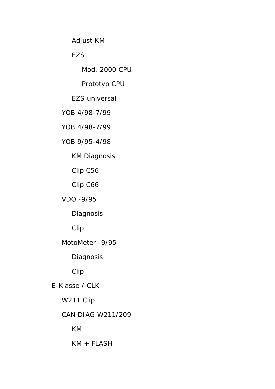Adjust KM

## **EZS**

Mod. 2000 CPU

Prototyp CPU

EZS universal

YOB 4/98-7/99

YOB 4/98-7/99

YOB 9/95-4/98

KM Diagnosis

Clip C56

Clip C66

VDO -9/95

Diagnosis

Clip

MotoMeter -9/95

**Diagnosis** 

Clip

E-Klasse / CLK

W211 Clip

## CAN DIAG W211/209

KM

KM + FLASH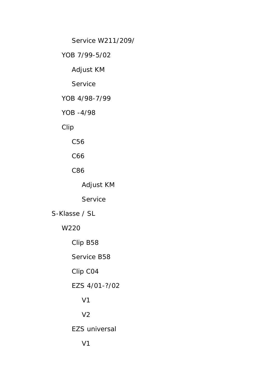Service W211/209/

YOB 7/99-5/02

Adjust KM

**Service** 

YOB 4/98-7/99

YOB -4/98

Clip

C56

C66

C86

Adjust KM

Service

S-Klasse / SL

W220

Clip B58

Service B58

Clip C04

EZS 4/01-?/02

V1

V2

EZS universal

V1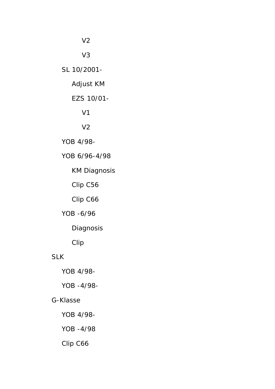V2

V3

SL 10/2001-

Adjust KM

#### EZS 10/01-

V1

## V2

YOB 4/98-

YOB 6/96-4/98

KM Diagnosis

Clip C56

Clip C66

YOB -6/96

Diagnosis

Clip

#### SLK

YOB 4/98-

YOB -4/98-

#### G-Klasse

YOB 4/98-

YOB -4/98

Clip C66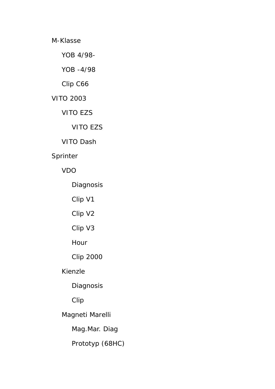M-Klasse

YOB 4/98-

YOB -4/98

Clip C66

VITO 2003

VITO EZS

VITO EZS

VITO Dash

Sprinter

VDO

Diagnosis

Clip V1

Clip V2

Clip V3

Hour

Clip 2000

Kienzle

Diagnosis

Clip

Magneti Marelli

Mag.Mar. Diag

Prototyp (68HC)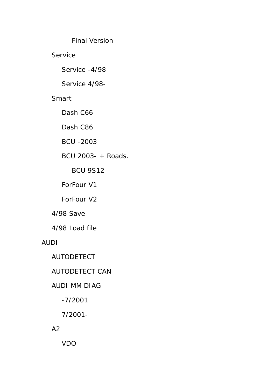Final Version

Service

Service -4/98

Service 4/98-

## Smart

Dash C66

Dash C86

BCU -2003

BCU 2003- + Roads.

BCU 9S12

ForFour V1

ForFour V2

4/98 Save

4/98 Load file

AUDI

AUTODETECT

AUTODETECT CAN

## AUDI MM DIAG

-7/2001

7/2001-

A2

VDO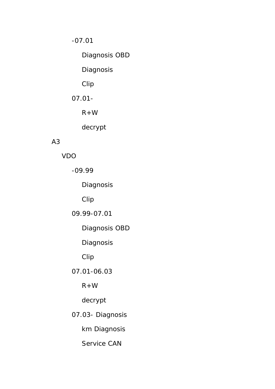-07.01

Diagnosis OBD

Diagnosis

Clip

07.01-

 $R+W$ 

decrypt

# A3

VDO

-09.99

Diagnosis

Clip

09.99-07.01

Diagnosis OBD

Diagnosis

Clip

07.01-06.03

 $R+W$ 

decrypt

07.03- Diagnosis

km Diagnosis

Service CAN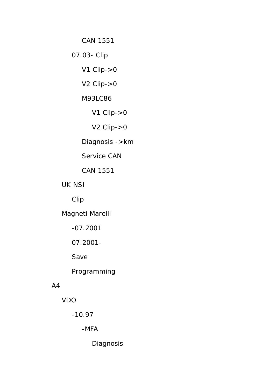CAN 1551

07.03- Clip

V1 Clip->0

V2 Clip->0

M93LC86

V1 Clip->0

V2 Clip->0

Diagnosis ->km

Service CAN

CAN 1551

UK NSI

Clip

Magneti Marelli

-07.2001

07.2001-

Save

Programming

#### A4

VDO

-10.97

-MFA

Diagnosis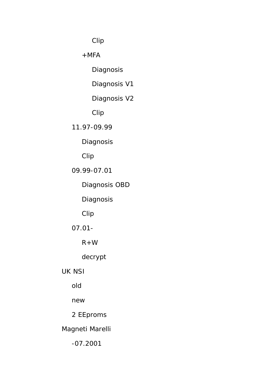Clip

 $+MFA$ 

Diagnosis

Diagnosis V1

Diagnosis V2

Clip

11.97-09.99

Diagnosis

Clip

09.99-07.01

Diagnosis OBD

**Diagnosis** 

Clip

07.01-

 $R+W$ 

decrypt

UK NSI

old

new

2 EEproms

Magneti Marelli

-07.2001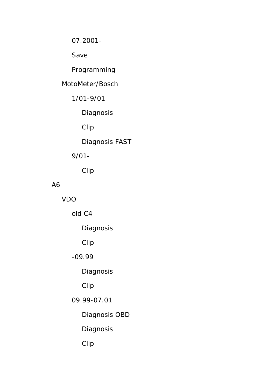07.2001-

Save

# Programming

### MotoMeter/Bosch

1/01-9/01

**Diagnosis** 

Clip

Diagnosis FAST

## 9/01-

Clip

## A6

VDO

old C4

Diagnosis

Clip

## -09.99

Diagnosis

# Clip

## 09.99-07.01

Diagnosis OBD

Diagnosis

Clip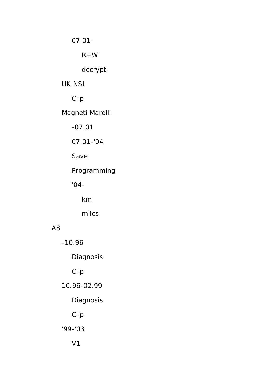07.01-

 $R+W$ 

decrypt

#### UK NSI

Clip

# Magneti Marelli

-07.01

07.01-'04

Save

Programming

'04-

km

miles

## A8

-10.96

Diagnosis

Clip

10.96-02.99

## **Diagnosis**

Clip

'99-'03

V1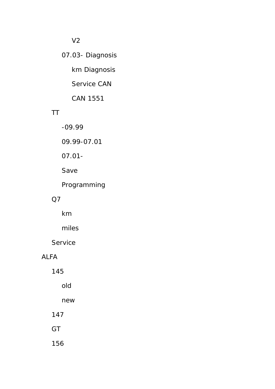## V2

# 07.03- Diagnosis

km Diagnosis

Service CAN

CAN 1551

## TT

-09.99

09.99-07.01

07.01-

Save

Programming

#### Q7

km

miles

Service

#### ALFA

145

old

new

147

**GT** 

156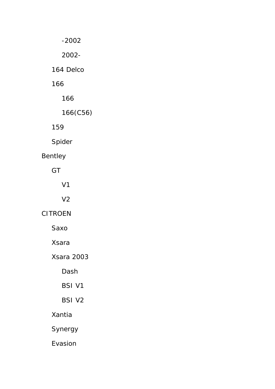-2002

2002-

164 Delco

166

166

166(C56)

159

Spider

# Bentley

GT

V1

V2

CITROEN

Saxo

Xsara

Xsara 2003

Dash

BSI V1

BSI V2

Xantia

Synergy

Evasion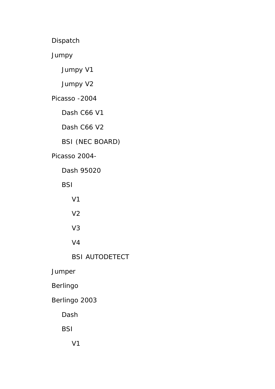Dispatch

Jumpy

Jumpy V1

Jumpy V2

Picasso -2004

Dash C66 V1

Dash C66 V2

BSI (NEC BOARD)

Picasso 2004-

Dash 95020

**BSI** 

V1

V2

V3

V4

BSI AUTODETECT

Jumper

Berlingo

Berlingo 2003

Dash

**BSI** 

V1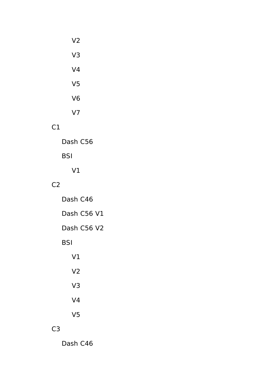| V <sub>2</sub> |  |
|----------------|--|
| V <sub>3</sub> |  |
| V <sub>4</sub> |  |
| V <sub>5</sub> |  |
| V <sub>6</sub> |  |
| V <sub>7</sub> |  |

## C1

Dash C56

# BSI

V1

## $C<sub>2</sub>$

 Dash C46 Dash C56 V1 Dash C56 V2 BSI V1 V2 V3 V4

# C3

Dash C46

V5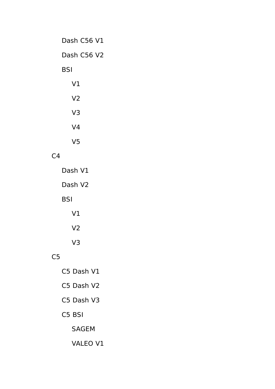| Dash C56 V1    |  |  |  |
|----------------|--|--|--|
| Dash C56 V2    |  |  |  |
| BSI            |  |  |  |
| V <sub>1</sub> |  |  |  |
| V <sub>2</sub> |  |  |  |
| V <sub>3</sub> |  |  |  |
| V <sub>4</sub> |  |  |  |
| V <sub>5</sub> |  |  |  |
| $\sim$ 1       |  |  |  |

# $C<sub>4</sub>$

|     | Dash V1        |  |
|-----|----------------|--|
|     | Dash V2        |  |
| BSI |                |  |
|     | V <sub>1</sub> |  |
|     | V <sub>2</sub> |  |
|     | V3             |  |

# $C<sub>5</sub>$

- C5 Dash V1 C5 Dash V2 C5 Dash V3 C5 BSI SAGEM
	- VALEO V1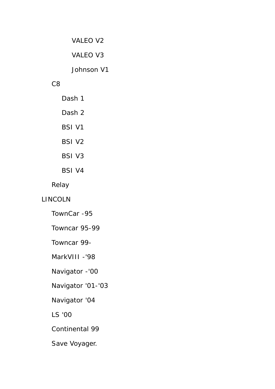VALEO V2

VALEO V3

Johnson V1

### C8

 Dash 1 Dash 2 BSI V1 BSI V2 BSI V3 BSI V4

Relay

## LINCOLN

TownCar -95

Towncar 95-99

Towncar 99-

MarkVIII -'98

Navigator -'00

Navigator '01-'03

Navigator '04

LS '00

Continental 99

Save Voyager.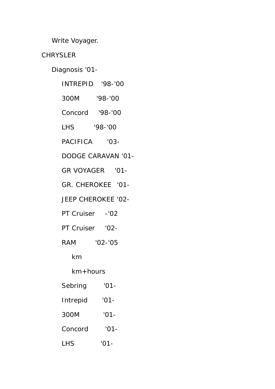Write Voyager.

# **CHRYSLER**

Diagnosis '01-

|                 | INTREPID '98-'00          |
|-----------------|---------------------------|
| 300M '98-'00    |                           |
| Concord '98-'00 |                           |
| LHS '98-'00     |                           |
| PACIFICA '03-   |                           |
|                 | <b>DODGE CARAVAN '01-</b> |
|                 | GR VOYAGER '01-           |
|                 | GR. CHEROKEE '01-         |
|                 | JEEP CHEROKEE '02-        |
| PT Cruiser -'02 |                           |
| PT Cruiser '02- |                           |
| RAM '02-'05     |                           |
| km              |                           |
| $km+$ hours     |                           |
| Sebring         | '01                       |
| Intrepid        | $'01 -$                   |
| 300M            | $'01 -$                   |
| Concord         | $'01-$                    |
| <b>LHS</b>      | $'01-$                    |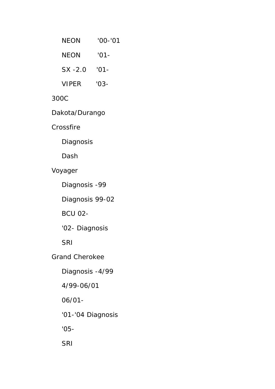| NEON           | $'00 - '01$ |  |  |
|----------------|-------------|--|--|
| NEON           | $'01-$      |  |  |
| $SX - 2.0$     | $'01 -$     |  |  |
| VIPER          | $'03-$      |  |  |
| 300C           |             |  |  |
| Dakota/Durango |             |  |  |

Crossfire

Diagnosis

Dash

Voyager

Diagnosis -99

Diagnosis 99-02

BCU 02-

'02- Diagnosis

SRI

Grand Cherokee

Diagnosis -4/99

4/99-06/01

06/01-

'01-'04 Diagnosis

'05-

SRI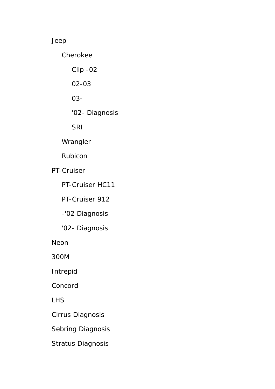## Jeep

Cherokee

Clip -02

02-03

03-

'02- Diagnosis

SRI

Wrangler

Rubicon

PT-Cruiser

PT-Cruiser HC11

PT-Cruiser 912

-'02 Diagnosis

'02- Diagnosis

Neon

300M

Intrepid

Concord

LHS

Cirrus Diagnosis

Sebring Diagnosis

Stratus Diagnosis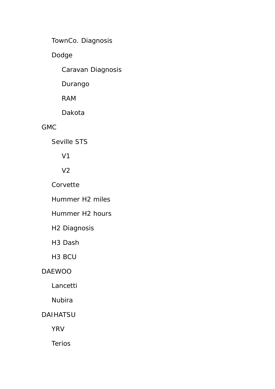TownCo. Diagnosis

Dodge

Caravan Diagnosis

Durango

RAM

Dakota

## GMC

Seville STS

V1

V2

Corvette

Hummer H2 miles

Hummer H2 hours

H2 Diagnosis

H3 Dash

H3 BCU

## DAEWOO

Lancetti

Nubira

## DAIHATSU

YRV

Terios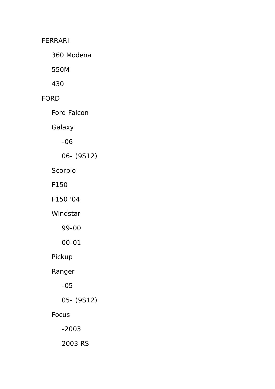## FERRARI

360 Modena

550M

430

## FORD

Ford Falcon

Galaxy

-06

06- (9S12)

Scorpio

F150

F150 '04

Windstar

99-00

00-01

Pickup

Ranger

-05

05- (9S12)

## Focus

-2003

2003 RS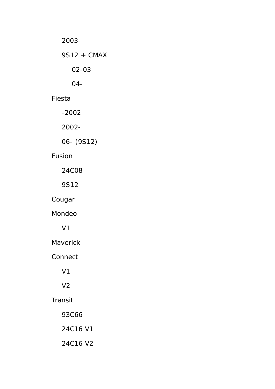2003- 9S12 + CMAX 02-03 04-

Fiesta

-2002

2002-

06- (9S12)

## Fusion

24C08

9S12

Cougar

Mondeo

V1

Maverick

Connect

V1

V2

## Transit

93C66

24C16 V1

24C16 V2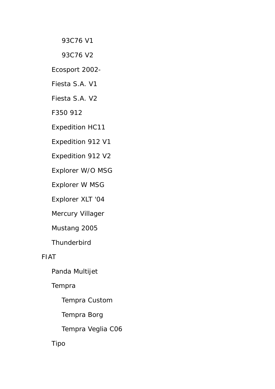93C76 V1

93C76 V2

Ecosport 2002-

Fiesta S.A. V1

Fiesta S.A. V2

F350 912

Expedition HC11

Expedition 912 V1

Expedition 912 V2

Explorer W/O MSG

Explorer W MSG

Explorer XLT '04

Mercury Villager

Mustang 2005

**Thunderbird** 

FIAT

Panda Multijet

Tempra

Tempra Custom

Tempra Borg

Tempra Veglia C06

Tipo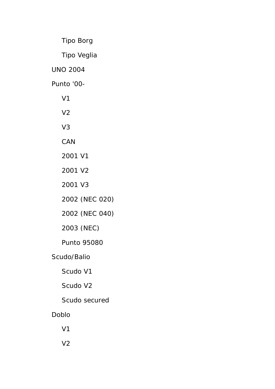Tipo Borg

Tipo Veglia

UNO 2004

Punto '00-

- V1
- V2
- V3
- CAN
- 2001 V1
- 2001 V2
- 2001 V3
- 2002 (NEC 020)
- 2002 (NEC 040)
- 2003 (NEC)
- Punto 95080
- Scudo/Balio
	- Scudo V1
	- Scudo V2
	- Scudo secured
- Doblo
	- V1
	- V2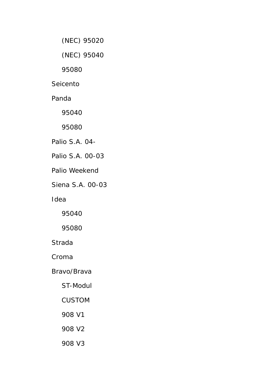(NEC) 95020

(NEC) 95040

95080

Seicento

Panda

95040

95080

Palio S.A. 04-

Palio S.A. 00-03

Palio Weekend

Siena S.A. 00-03

Idea

95040

95080

Strada

Croma

Bravo/Brava

ST-Modul

CUSTOM

908 V1

908 V2

908 V3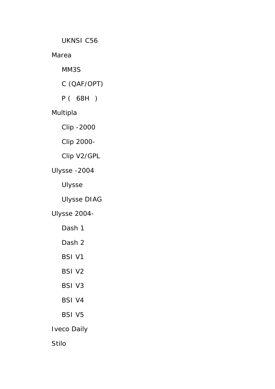UKNSI C56

Marea

MM3S

C (QAF/OPT)

P ( 68H )

# Multipla

Clip -2000

Clip 2000-

Clip V2/GPL

Ulysse -2004

Ulysse

Ulysse DIAG

Ulysse 2004-

- Dash 1
- Dash 2
- BSI V1
- BSI V2
- BSI V3
- BSI V4
- BSI V5

Iveco Daily

Stilo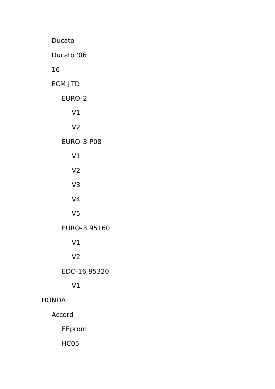Ducato Ducato '06 16 ECM JTD EURO-2 V1 V2 EURO-3 P08 V1 V2 V3 V4 V5 EURO-3 95160 V1 V2 EDC-16 95320 V1 HONDA Accord EEprom HC05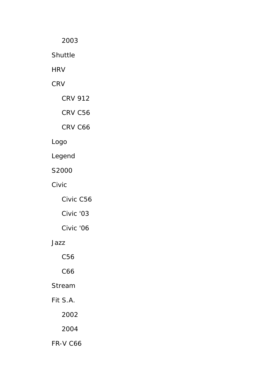2003

Shuttle

**HRV** 

**CRV** 

CRV 912

CRV C56

CRV C66

# Logo

Legend

S2000

Civic

Civic C56

Civic '03

Civic '06

### Jazz

C56

C66

Stream

Fit S.A.

2002

2004

FR-V C66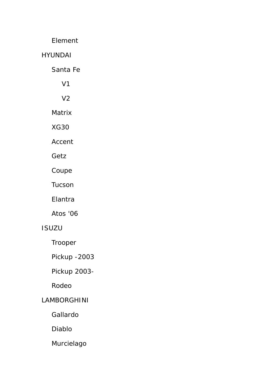Element

HYUNDAI

Santa Fe

V1

V2

Matrix

XG30

Accent

Getz

Coupe

Tucson

Elantra

Atos '06

## ISUZU

Trooper

Pickup -2003

Pickup 2003-

Rodeo

#### LAMBORGHINI

Gallardo

Diablo

Murcielago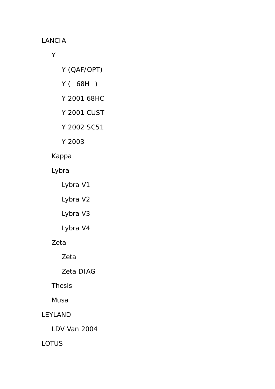LANCIA

Y

- Y (QAF/OPT)
- Y ( 68H )
- Y 2001 68HC
- Y 2001 CUST
- Y 2002 SC51
- Y 2003

## Kappa

Lybra

Lybra V1

Lybra V2

Lybra V3

Lybra V4

# Zeta

Zeta

Zeta DIAG

Thesis

Musa

# LEYLAND

LDV Van 2004

LOTUS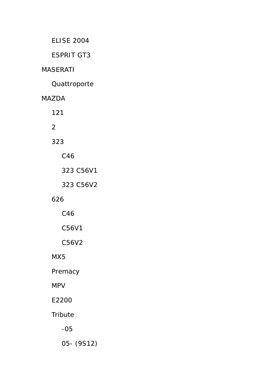ELISE 2004

ESPRIT GT3

### MASERATI

**Quattroporte** 

MAZDA

121

2

323

C46

323 C56V1

323 C56V2

### 626

C46

C56V1

C56V2

MX5

Premacy

MPV

E2200

**Tribute** 

-05

05- (9S12)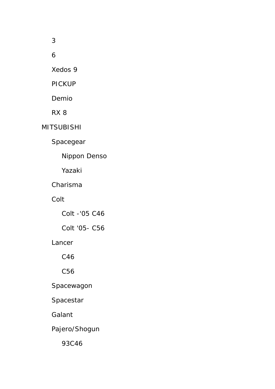3

6

Xedos 9

PICKUP

Demio

RX 8

MITSUBISHI

Spacegear

Nippon Denso

Yazaki

Charisma

Colt

Colt -'05 C46

Colt '05- C56

Lancer

C46

C56

Spacewagon

Spacestar

Galant

Pajero/Shogun

93C46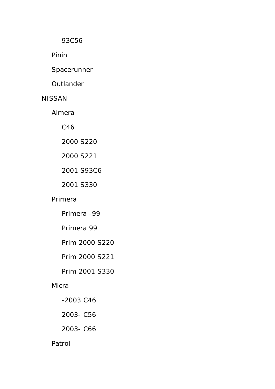93C56

Pinin

Spacerunner

**Outlander** 

#### NISSAN

Almera

C46

2000 S220

2000 S221

2001 S93C6

2001 S330

#### Primera

Primera -99

Primera 99

Prim 2000 S220

Prim 2000 S221

Prim 2001 S330

#### **Micra**

- -2003 C46
- 2003- C56
- 2003- C66

#### Patrol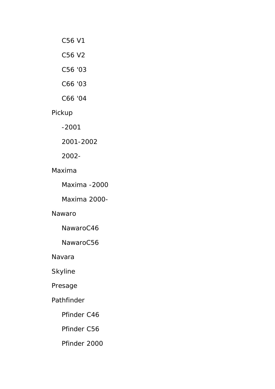- C56 V1
- C56 V2
- C56 '03
- C66 '03
- C66 '04

## Pickup

-2001

2001-2002

2002-

#### Maxima

Maxima -2000

Maxima 2000-

#### Nawaro

NawaroC46

NawaroC56

Navara

Skyline

Presage

#### Pathfinder

Pfinder C46

Pfinder C56

Pfinder 2000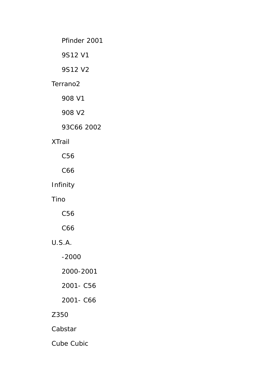Pfinder 2001

9S12 V1

9S12 V2

#### Terrano2

908 V1

908 V2

### 93C66 2002

### XTrail

C56

C66

### Infinity

Tino

C56

C66

# U.S.A.

-2000

2000-2001

2001- C56

2001- C66

# Z350

Cabstar

Cube Cubic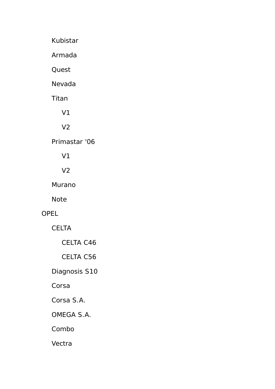Kubistar

Armada

**Quest** 

Nevada

Titan

V1

V2

Primastar '06

V1

V2

Murano

Note

## OPEL

CELTA

CELTA C46

CELTA C56

Diagnosis S10

Corsa

Corsa S.A.

OMEGA S.A.

Combo

Vectra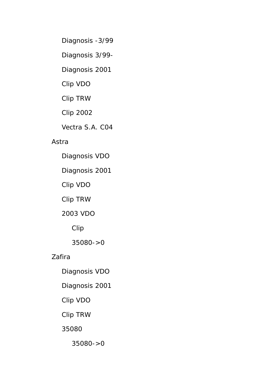Diagnosis -3/99

Diagnosis 3/99-

Diagnosis 2001

Clip VDO

Clip TRW

Clip 2002

Vectra S.A. C04

### Astra

Diagnosis VDO

Diagnosis 2001

Clip VDO

Clip TRW

2003 VDO

Clip

35080->0

## Zafira

Diagnosis VDO

Diagnosis 2001

Clip VDO

Clip TRW

35080

35080->0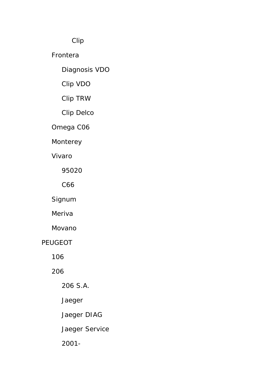Clip

Frontera

Diagnosis VDO

Clip VDO

Clip TRW

Clip Delco

Omega C06

Monterey

Vivaro

95020

C66

Signum

Meriva

Movano

PEUGEOT

106

206

206 S.A.

Jaeger

Jaeger DIAG

Jaeger Service

2001-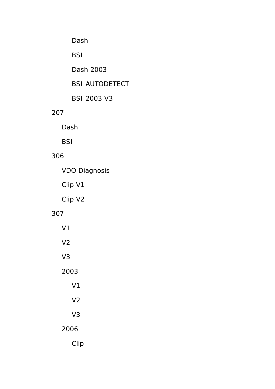# Dash

# BSI

Dash 2003

# BSI AUTODETECT

BSI 2003 V3

### 207

Dash

**BSI** 

## 306

VDO Diagnosis

Clip V1

Clip V2

### 307

 V1 V2 V3 2003 V1 V2 V3 2006

Clip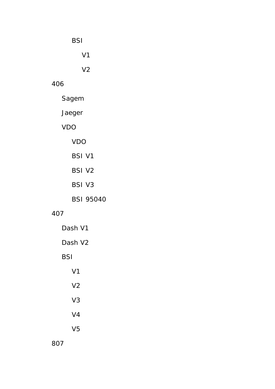BSI

V1

V2

# 406

Sagem

Jaeger

# VDO

VDO

- BSI V1
- BSI V2
- BSI V3

BSI 95040

# 407

 Dash V1 Dash V2 BSI V1 V2 V3 V4 V5

807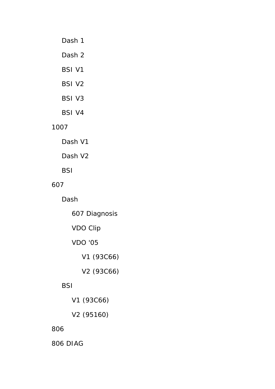### Dash 1

Dash 2

BSI V1

BSI V2

BSI V3

BSI V4

### 1007

Dash V1

Dash V2

**BSI** 

### 607

Dash

607 Diagnosis

VDO Clip

VDO '05

V1 (93C66)

V2 (93C66)

# **BSI**

V1 (93C66)

V2 (95160)

## 806

806 DIAG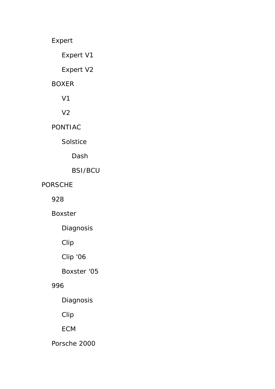Expert

Expert V1

Expert V2

### BOXER

V1

V2

PONTIAC

Solstice

Dash

BSI/BCU

PORSCHE

928

Boxster

Diagnosis

Clip

Clip '06

Boxster '05

## 996

Diagnosis

Clip

ECM

Porsche 2000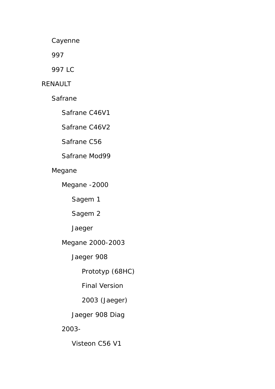Cayenne

997

997 LC

### RENAULT

Safrane

Safrane C46V1

Safrane C46V2

Safrane C56

Safrane Mod99

Megane

Megane -2000

Sagem 1

Sagem 2

Jaeger

Megane 2000-2003

Jaeger 908

Prototyp (68HC)

Final Version

2003 (Jaeger)

Jaeger 908 Diag

2003-

Visteon C56 V1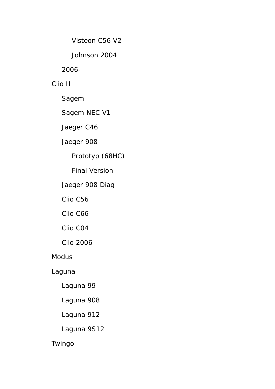Visteon C56 V2

Johnson 2004

2006-

Clio II

Sagem

Sagem NEC V1

Jaeger C46

Jaeger 908

Prototyp (68HC)

Final Version

Jaeger 908 Diag

Clio C56

Clio C66

Clio C04

Clio 2006

Modus

Laguna

Laguna 99

Laguna 908

Laguna 912

Laguna 9S12

Twingo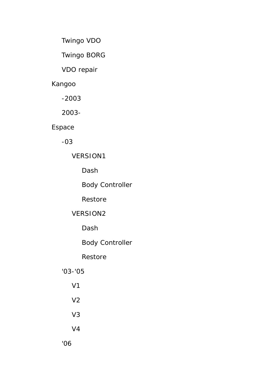Twingo VDO

Twingo BORG

VDO repair

### Kangoo

-2003

2003-

# Espace

-03

## VERSION1

Dash

Body Controller

Restore

# VERSION2

Dash

Body Controller

# Restore

## '03-'05

 V1 V2 V3 V4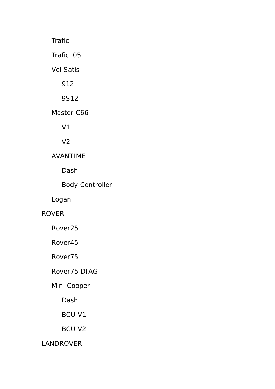Trafic Trafic '05 Vel Satis 912 9S12 Master C66 V1 V2 AVANTIME Dash Body Controller

Logan

### ROVER

Rover25

Rover45

Rover75

### Rover75 DIAG

## Mini Cooper

Dash

BCU V1

BCU V2

LANDROVER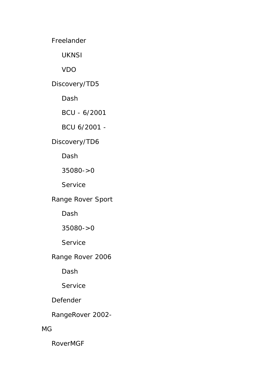Freelander

UKNSI

VDO

Discovery/TD5

Dash

BCU - 6/2001

BCU 6/2001 -

Discovery/TD6

Dash

35080->0

**Service** 

Range Rover Sport

Dash

## 35080->0

Service

Range Rover 2006

Dash

**Service** 

Defender

RangeRover 2002-

MG

RoverMGF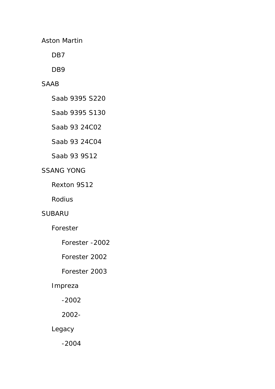Aston Martin

D<sub>B</sub>7

D<sub>B9</sub>

### SAAB

Saab 9395 S220

Saab 9395 S130

Saab 93 24C02

Saab 93 24C04

Saab 93 9S12

### SSANG YONG

Rexton 9S12

Rodius

#### SUBARU

Forester

- Forester -2002
- Forester 2002

### Forester 2003

#### Impreza

-2002

### 2002-

Legacy

-2004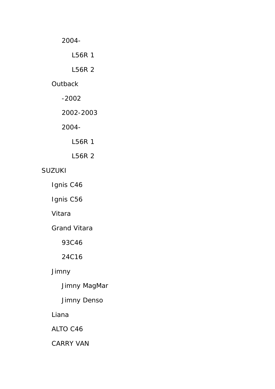2004-

L56R 1

L56R 2

### **Outback**

-2002

2002-2003

2004-

L56R 1

L56R 2

### SUZUKI

Ignis C46

Ignis C56

Vitara

Grand Vitara

93C46

24C16

## Jimny

Jimny MagMar

Jimny Denso

Liana

ALTO C46

CARRY VAN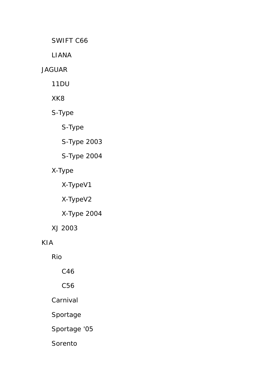SWIFT C66

LIANA

#### JAGUAR

11DU

XK8

S-Type

S-Type

S-Type 2003

S-Type 2004

# X-Type

X-TypeV1

X-TypeV2

X-Type 2004

XJ 2003

KIA

Rio

C46

C56

Carnival

Sportage

Sportage '05

Sorento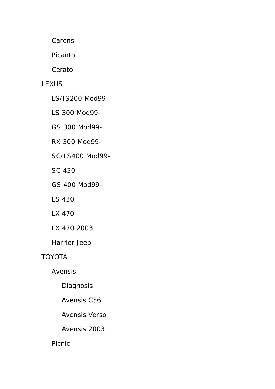**Carens** 

Picanto

Cerato

### **LEXUS**

LS/IS200 Mod99-

LS 300 Mod99-

GS 300 Mod99-

RX 300 Mod99-

SC/LS400 Mod99-

SC 430

GS 400 Mod99-

LS 430

LX 470

LX 470 2003

Harrier Jeep

## TOYOTA

Avensis

Diagnosis

Avensis C56

Avensis Verso

Avensis 2003

# Picnic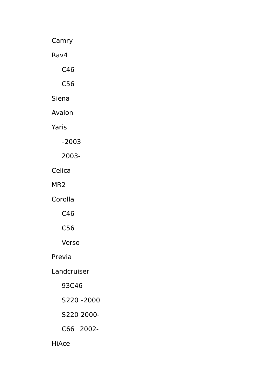Camry

Rav4

C46

C56

Siena

Avalon

Yaris

-2003

2003-

Celica

MR2

Corolla

C46

C56

Verso

Previa

Landcruiser

93C46

S220 -2000

S220 2000-

C66 2002-

HiAce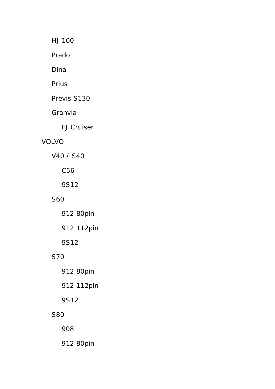HJ 100

Prado

Dina

Prius

Previs S130

Granvia

FJ Cruiser

## VOLVO

V40 / S40

C56

9S12

## S60

 912 80pin 912 112pin

9S12

# S70

912 80pin

912 112pin

9S12

## S80

908

912 80pin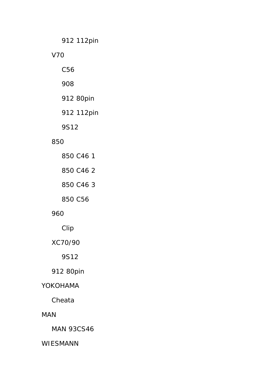912 112pin

#### V70

C56

908

912 80pin

912 112pin

9S12

#### 850

### 960

Clip

XC70/90

9S12

912 80pin

### YOKOHAMA

Cheata

### MAN

MAN 93CS46

### WIESMANN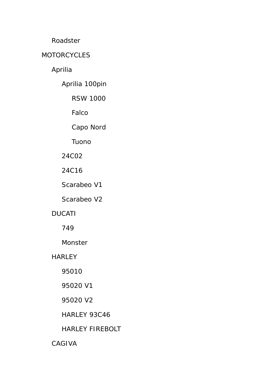Roadster

### MOTORCYCLES

Aprilia

Aprilia 100pin

RSW 1000

Falco

Capo Nord

Tuono

24C02

24C16

Scarabeo V1

Scarabeo V2

## DUCATI

749

Monster

**HARLEY** 

95010

95020 V1

95020 V2

HARLEY 93C46

## HARLEY FIREBOLT

CAGIVA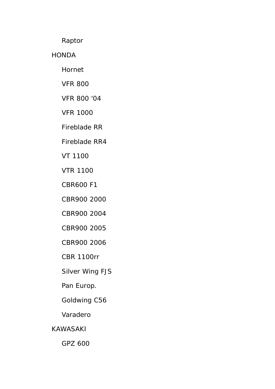Raptor

HONDA

Hornet

VFR 800

VFR 800 '04

VFR 1000

Fireblade RR

Fireblade RR4

VT 1100

VTR 1100

CBR600 F1

CBR900 2000

CBR900 2004

CBR900 2005

CBR900 2006

CBR 1100rr

Silver Wing FJS

Pan Europ.

Goldwing C56

Varadero

KAWASAKI

GPZ 600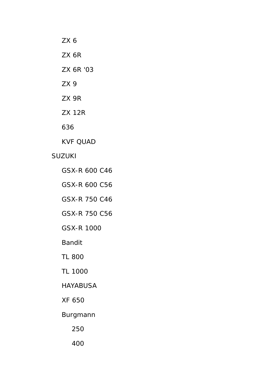ZX 6 ZX 6R ZX 6R '03 ZX 9 ZX 9R ZX 12R

636

KVF QUAD

#### SUZUKI

- GSX-R 600 C46
- GSX-R 600 C56
- GSX-R 750 C46
- GSX-R 750 C56
- GSX-R 1000
- Bandit
- TL 800
- TL 1000

### HAYABUSA

- XF 650
- Burgmann
	- 250
	- 400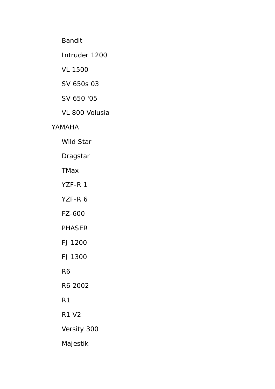Bandit

Intruder 1200

VL 1500

SV 650s 03

SV 650 '05

VL 800 Volusia

### YAMAHA

Wild Star

Dragstar

**TMax** 

YZF-R 1

YZF-R 6

FZ-600

### PHASER

FJ 1200

FJ 1300

R6

R6 2002

R1

R1 V2

Versity 300

Majestik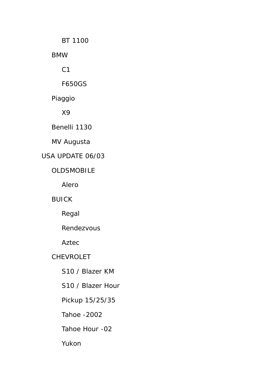BT 1100

BMW

 $C<sub>1</sub>$ 

F650GS

Piaggio

X9

Benelli 1130

MV Augusta

# USA UPDATE 06/03

### OLDSMOBILE

Alero

BUICK

Regal

Rendezvous

Aztec

CHEVROLET

S10 / Blazer KM

S10 / Blazer Hour

Pickup 15/25/35

Tahoe -2002

Tahoe Hour -02

Yukon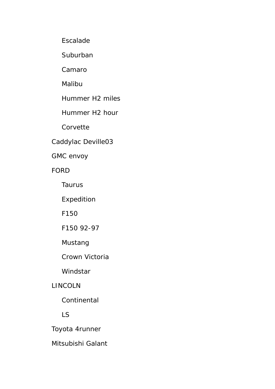Escalade

**Suburban** 

Camaro

Malibu

Hummer H2 miles

Hummer H2 hour

Corvette

Caddylac Deville03

GMC envoy

FORD

Taurus

Expedition

F150

F150 92-97

Mustang

Crown Victoria

Windstar

## LINCOLN

**Continental** 

## LS

Toyota 4runner

Mitsubishi Galant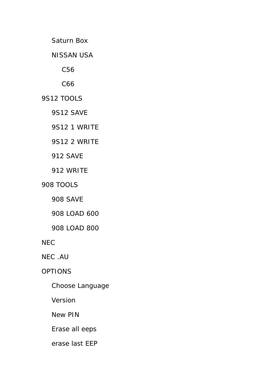Saturn Box

NISSAN USA

C56

C66

9S12 TOOLS

9S12 SAVE

9S12 1 WRITE

9S12 2 WRITE

912 SAVE

912 WRITE

908 TOOLS

908 SAVE

908 LOAD 600

908 LOAD 800

NEC

NEC .AU

OPTIONS

Choose Language

Version

New PIN

Erase all eeps

erase last EEP